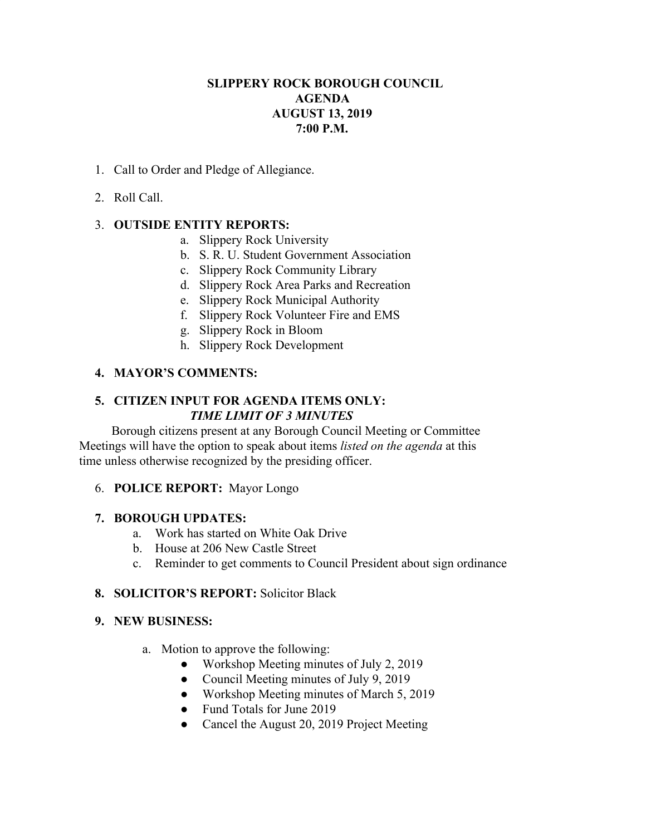# **SLIPPERY ROCK BOROUGH COUNCIL AGENDA AUGUST 13, 2019 7:00 P.M.**

- 1. Call to Order and Pledge of Allegiance.
- 2. Roll Call.

# 3. **OUTSIDE ENTITY REPORTS:**

- a. Slippery Rock University
- b. S. R. U. Student Government Association
- c. Slippery Rock Community Library
- d. Slippery Rock Area Parks and Recreation
- e. Slippery Rock Municipal Authority
- f. Slippery Rock Volunteer Fire and EMS
- g. Slippery Rock in Bloom
- h. Slippery Rock Development

# **4. MAYOR'S COMMENTS:**

## **5. CITIZEN INPUT FOR AGENDA ITEMS ONLY:** *TIME LIMIT OF 3 MINUTES*

Borough citizens present at any Borough Council Meeting or Committee Meetings will have the option to speak about items *listed on the agenda* at this time unless otherwise recognized by the presiding officer.

### 6. **POLICE REPORT:** Mayor Longo

### **7. BOROUGH UPDATES:**

- a. Work has started on White Oak Drive
- b. House at 206 New Castle Street
- c. Reminder to get comments to Council President about sign ordinance

### **8. SOLICITOR'S REPORT:** Solicitor Black

### **9. NEW BUSINESS:**

- a. Motion to approve the following:
	- Workshop Meeting minutes of July 2, 2019
	- Council Meeting minutes of July 9, 2019
	- Workshop Meeting minutes of March 5, 2019
	- Fund Totals for June 2019
	- Cancel the August 20, 2019 Project Meeting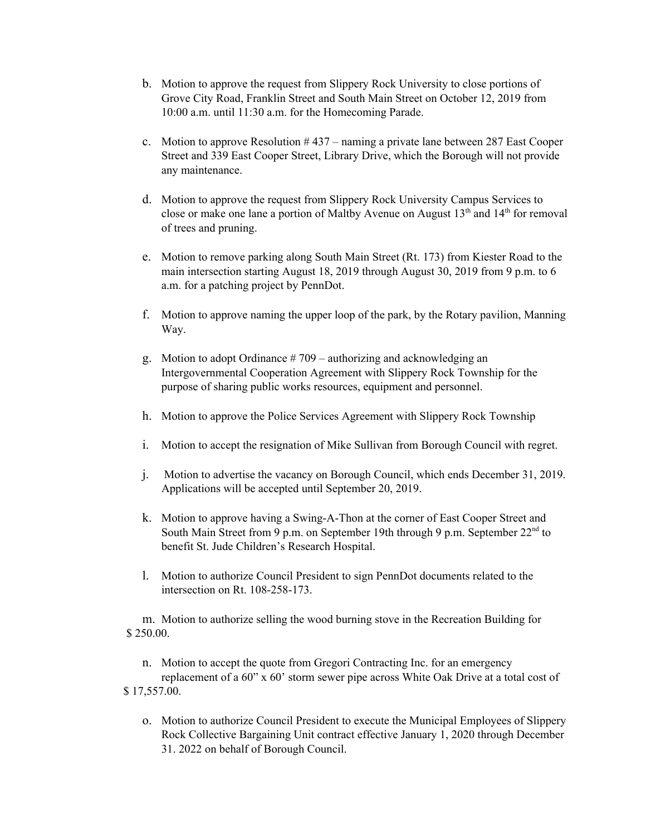- b. Motion to approve the request from Slippery Rock University to close portions of Grove City Road, Franklin Street and South Main Street on October 12, 2019 from 10:00 a.m. until 11:30 a.m. for the Homecoming Parade.
- c. Motion to approve Resolution  $#437$  naming a private lane between 287 East Cooper Street and 339 East Cooper Street, Library Drive, which the Borough will not provide any maintenance.
- d. Motion to approve the request from Slippery Rock University Campus Services to close or make one lane a portion of Maltby Avenue on August  $13<sup>th</sup>$  and  $14<sup>th</sup>$  for removal of trees and pruning.
- e. Motion to remove parking along South Main Street (Rt. 173) from Kiester Road to the main intersection starting August 18, 2019 through August 30, 2019 from 9 p.m. to 6 a.m. for a patching project by PennDot.
- f. Motion to approve naming the upper loop of the park, by the Rotary pavilion, Manning Way.
- g. Motion to adopt Ordinance  $#709$  authorizing and acknowledging an Intergovernmental Cooperation Agreement with Slippery Rock Township for the purpose of sharing public works resources, equipment and personnel.
- h. Motion to approve the Police Services Agreement with Slippery Rock Township
- i. Motion to accept the resignation of Mike Sullivan from Borough Council with regret.
- j. Motion to advertise the vacancy on Borough Council, which ends December 31, 2019. Applications will be accepted until September 20, 2019.
- k. Motion to approve having a Swing-A-Thon at the corner of East Cooper Street and South Main Street from 9 p.m. on September 19th through 9 p.m. September 22<sup>nd</sup> to benefit St. Jude Children's Research Hospital.
- l. Motion to authorize Council President to sign PennDot documents related to the intersection on Rt. 108-258-173.

m. Motion to authorize selling the wood burning stove in the Recreation Building for \$ 250.00.

n. Motion to accept the quote from Gregori Contracting Inc. for an emergency replacement of a 60" x 60' storm sewer pipe across White Oak Drive at a total cost of \$ 17,557.00.

o. Motion to authorize Council President to execute the Municipal Employees of Slippery Rock Collective Bargaining Unit contract effective January 1, 2020 through December 31. 2022 on behalf of Borough Council.